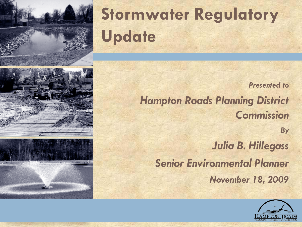

# **Stormwater Regulatory Update**

*Presented to* 





*Hampton Roads Planning District Commission*

*By Julia B. Hillegass Senior Environmental Planner November 18, 2009*

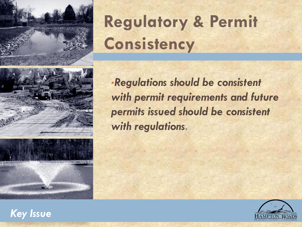

## **Regulatory & Permit Consistency**





•*Regulations should be consistent with permit requirements and future permits issued should be consistent with regulations.*



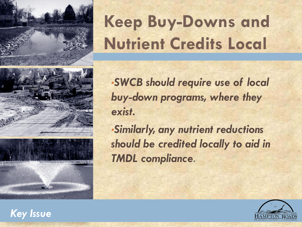

# **Keep Buy-Downs and Nutrient Credits Local**





•*SWCB should require use of local buy-down programs, where they exist.*

•*Similarly, any nutrient reductions should be credited locally to aid in TMDL compliance.*



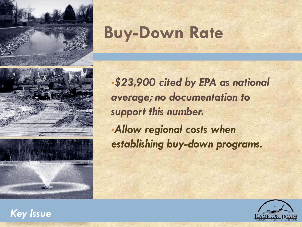

## **Buy-Down Rate**

•*\$23,900 cited by EPA as national average; no documentation to support this number.* •*Allow regional costs when* 





*establishing buy-down programs.*

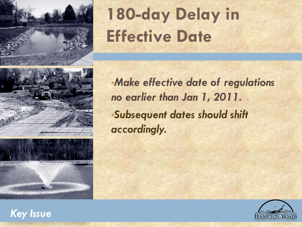

## 180-day Delay in **Effective Date**





•*Make effective date of regulations no earlier than Jan 1, 2011.* •*Subsequent dates should shift accordingly.*



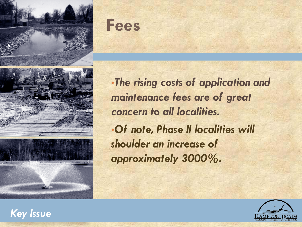





•*The rising costs of application and maintenance fees are of great concern to all localities.* •*Of note, Phase II localities will shoulder an increase of approximately 3000%.*



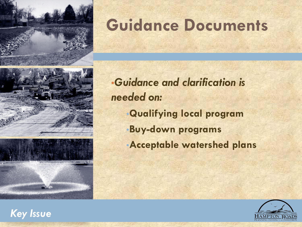

## **Guidance Documents**





•*Guidance and clarification is needed on:* •**Qualifying local program** •**Buy-down programs** •**Acceptable watershed plans**



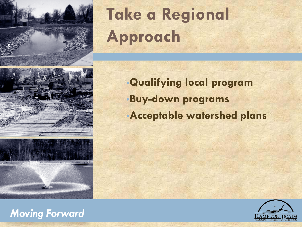

# **Take a Regional Approach <sup>8</sup>**

•**Qualifying local program** •**Buy-down programs** •**Acceptable watershed plans**





#### *Moving Forward*